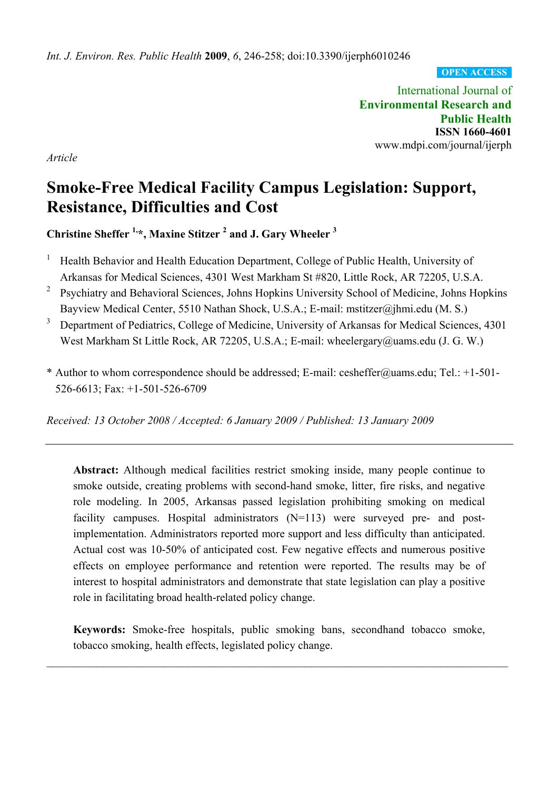**OPEN ACCESS**

International Journal of **Environmental Research and Public Health ISSN 1660-4601**  www.mdpi.com/journal/ijerph

*Article* 

# **Smoke-Free Medical Facility Campus Legislation: Support, Resistance, Difficulties and Cost**

Christine Sheffer <sup>1,\*</sup>, Maxine Stitzer<sup>2</sup> and J. Gary Wheeler<sup>3</sup>

- 1 Health Behavior and Health Education Department, College of Public Health, University of Arkansas for Medical Sciences, 4301 West Markham St #820, Little Rock, AR 72205, U.S.A.
- 2 Psychiatry and Behavioral Sciences, Johns Hopkins University School of Medicine, Johns Hopkins Bayview Medical Center, 5510 Nathan Shock, U.S.A.; E-mail: mstitzer@jhmi.edu (M. S.)
- 3 Department of Pediatrics, College of Medicine, University of Arkansas for Medical Sciences, 4301 West Markham St Little Rock, AR 72205, U.S.A.; E-mail: wheelergary@uams.edu (J. G. W.)
- \* Author to whom correspondence should be addressed; E-mail: cesheffer@uams.edu; Tel.: +1-501- 526-6613; Fax: +1-501-526-6709

*Received: 13 October 2008 / Accepted: 6 January 2009 / Published: 13 January 2009* 

**Abstract:** Although medical facilities restrict smoking inside, many people continue to smoke outside, creating problems with second-hand smoke, litter, fire risks, and negative role modeling. In 2005, Arkansas passed legislation prohibiting smoking on medical facility campuses. Hospital administrators (N=113) were surveyed pre- and postimplementation. Administrators reported more support and less difficulty than anticipated. Actual cost was 10-50% of anticipated cost. Few negative effects and numerous positive effects on employee performance and retention were reported. The results may be of interest to hospital administrators and demonstrate that state legislation can play a positive role in facilitating broad health-related policy change.

**Keywords:** Smoke-free hospitals, public smoking bans, secondhand tobacco smoke, tobacco smoking, health effects, legislated policy change.

 $\_$  , and the contribution of the contribution of the contribution of the contribution of  $\mathcal{L}_\text{max}$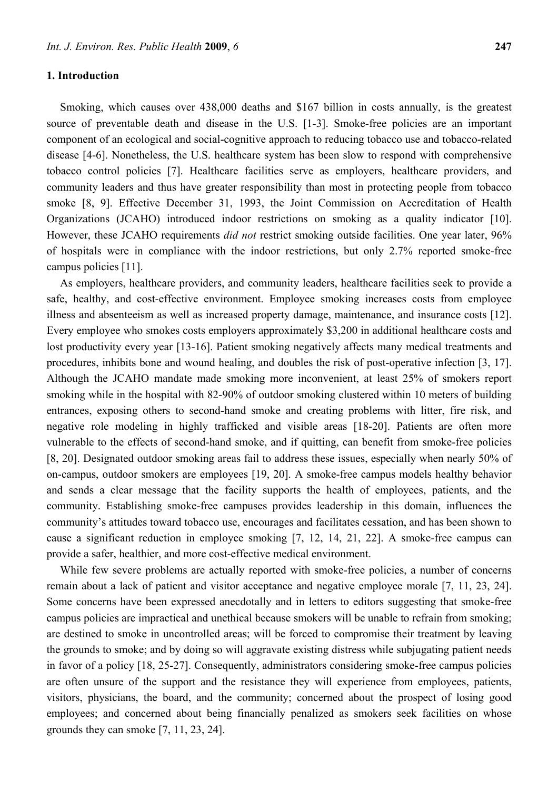# **1. Introduction**

Smoking, which causes over 438,000 deaths and \$167 billion in costs annually, is the greatest source of preventable death and disease in the U.S. [1-3]. Smoke-free policies are an important component of an ecological and social-cognitive approach to reducing tobacco use and tobacco-related disease [4-6]. Nonetheless, the U.S. healthcare system has been slow to respond with comprehensive tobacco control policies [7]. Healthcare facilities serve as employers, healthcare providers, and community leaders and thus have greater responsibility than most in protecting people from tobacco smoke [8, 9]. Effective December 31, 1993, the Joint Commission on Accreditation of Health Organizations (JCAHO) introduced indoor restrictions on smoking as a quality indicator [10]. However, these JCAHO requirements *did not* restrict smoking outside facilities. One year later, 96% of hospitals were in compliance with the indoor restrictions, but only 2.7% reported smoke-free campus policies [11].

As employers, healthcare providers, and community leaders, healthcare facilities seek to provide a safe, healthy, and cost-effective environment. Employee smoking increases costs from employee illness and absenteeism as well as increased property damage, maintenance, and insurance costs [12]. Every employee who smokes costs employers approximately \$3,200 in additional healthcare costs and lost productivity every year [13-16]. Patient smoking negatively affects many medical treatments and procedures, inhibits bone and wound healing, and doubles the risk of post-operative infection [3, 17]. Although the JCAHO mandate made smoking more inconvenient, at least 25% of smokers report smoking while in the hospital with 82-90% of outdoor smoking clustered within 10 meters of building entrances, exposing others to second-hand smoke and creating problems with litter, fire risk, and negative role modeling in highly trafficked and visible areas [18-20]. Patients are often more vulnerable to the effects of second-hand smoke, and if quitting, can benefit from smoke-free policies [8, 20]. Designated outdoor smoking areas fail to address these issues, especially when nearly 50% of on-campus, outdoor smokers are employees [19, 20]. A smoke-free campus models healthy behavior and sends a clear message that the facility supports the health of employees, patients, and the community. Establishing smoke-free campuses provides leadership in this domain, influences the community's attitudes toward tobacco use, encourages and facilitates cessation, and has been shown to cause a significant reduction in employee smoking [7, 12, 14, 21, 22]. A smoke-free campus can provide a safer, healthier, and more cost-effective medical environment.

While few severe problems are actually reported with smoke-free policies, a number of concerns remain about a lack of patient and visitor acceptance and negative employee morale [7, 11, 23, 24]. Some concerns have been expressed anecdotally and in letters to editors suggesting that smoke-free campus policies are impractical and unethical because smokers will be unable to refrain from smoking; are destined to smoke in uncontrolled areas; will be forced to compromise their treatment by leaving the grounds to smoke; and by doing so will aggravate existing distress while subjugating patient needs in favor of a policy [18, 25-27]. Consequently, administrators considering smoke-free campus policies are often unsure of the support and the resistance they will experience from employees, patients, visitors, physicians, the board, and the community; concerned about the prospect of losing good employees; and concerned about being financially penalized as smokers seek facilities on whose grounds they can smoke [7, 11, 23, 24].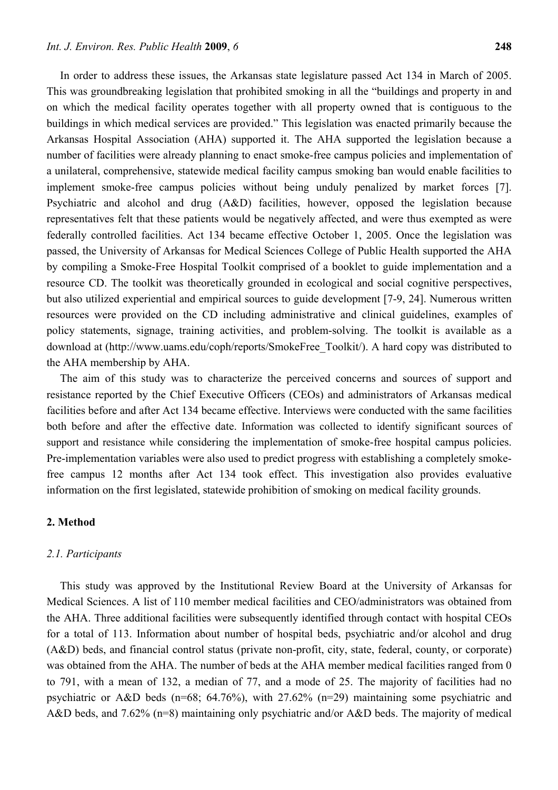In order to address these issues, the Arkansas state legislature passed Act 134 in March of 2005. This was groundbreaking legislation that prohibited smoking in all the "buildings and property in and on which the medical facility operates together with all property owned that is contiguous to the buildings in which medical services are provided." This legislation was enacted primarily because the Arkansas Hospital Association (AHA) supported it. The AHA supported the legislation because a number of facilities were already planning to enact smoke-free campus policies and implementation of a unilateral, comprehensive, statewide medical facility campus smoking ban would enable facilities to implement smoke-free campus policies without being unduly penalized by market forces [7]. Psychiatric and alcohol and drug (A&D) facilities, however, opposed the legislation because representatives felt that these patients would be negatively affected, and were thus exempted as were federally controlled facilities. Act 134 became effective October 1, 2005. Once the legislation was passed, the University of Arkansas for Medical Sciences College of Public Health supported the AHA by compiling a Smoke-Free Hospital Toolkit comprised of a booklet to guide implementation and a resource CD. The toolkit was theoretically grounded in ecological and social cognitive perspectives, but also utilized experiential and empirical sources to guide development [7-9, 24]. Numerous written resources were provided on the CD including administrative and clinical guidelines, examples of policy statements, signage, training activities, and problem-solving. The toolkit is available as a download at (http://www.uams.edu/coph/reports/SmokeFree\_Toolkit/). A hard copy was distributed to the AHA membership by AHA.

The aim of this study was to characterize the perceived concerns and sources of support and resistance reported by the Chief Executive Officers (CEOs) and administrators of Arkansas medical facilities before and after Act 134 became effective. Interviews were conducted with the same facilities both before and after the effective date. Information was collected to identify significant sources of support and resistance while considering the implementation of smoke-free hospital campus policies. Pre-implementation variables were also used to predict progress with establishing a completely smokefree campus 12 months after Act 134 took effect. This investigation also provides evaluative information on the first legislated, statewide prohibition of smoking on medical facility grounds.

## **2. Method**

## *2.1. Participants*

This study was approved by the Institutional Review Board at the University of Arkansas for Medical Sciences. A list of 110 member medical facilities and CEO/administrators was obtained from the AHA. Three additional facilities were subsequently identified through contact with hospital CEOs for a total of 113. Information about number of hospital beds, psychiatric and/or alcohol and drug (A&D) beds, and financial control status (private non-profit, city, state, federal, county, or corporate) was obtained from the AHA. The number of beds at the AHA member medical facilities ranged from 0 to 791, with a mean of 132, a median of 77, and a mode of 25. The majority of facilities had no psychiatric or A&D beds (n=68; 64.76%), with 27.62% (n=29) maintaining some psychiatric and A&D beds, and 7.62% (n=8) maintaining only psychiatric and/or A&D beds. The majority of medical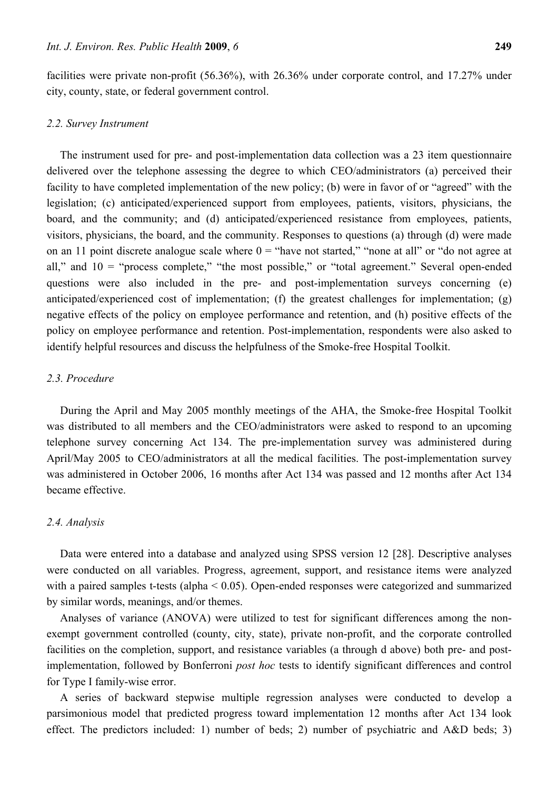facilities were private non-profit (56.36%), with 26.36% under corporate control, and 17.27% under city, county, state, or federal government control.

## *2.2. Survey Instrument*

The instrument used for pre- and post-implementation data collection was a 23 item questionnaire delivered over the telephone assessing the degree to which CEO/administrators (a) perceived their facility to have completed implementation of the new policy; (b) were in favor of or "agreed" with the legislation; (c) anticipated/experienced support from employees, patients, visitors, physicians, the board, and the community; and (d) anticipated/experienced resistance from employees, patients, visitors, physicians, the board, and the community. Responses to questions (a) through (d) were made on an 11 point discrete analogue scale where  $0 =$  "have not started," "none at all" or "do not agree at all," and  $10 =$  "process complete," "the most possible," or "total agreement." Several open-ended questions were also included in the pre- and post-implementation surveys concerning (e) anticipated/experienced cost of implementation; (f) the greatest challenges for implementation; (g) negative effects of the policy on employee performance and retention, and (h) positive effects of the policy on employee performance and retention. Post-implementation, respondents were also asked to identify helpful resources and discuss the helpfulness of the Smoke-free Hospital Toolkit.

## *2.3. Procedure*

During the April and May 2005 monthly meetings of the AHA, the Smoke-free Hospital Toolkit was distributed to all members and the CEO/administrators were asked to respond to an upcoming telephone survey concerning Act 134. The pre-implementation survey was administered during April/May 2005 to CEO/administrators at all the medical facilities. The post-implementation survey was administered in October 2006, 16 months after Act 134 was passed and 12 months after Act 134 became effective.

## *2.4. Analysis*

Data were entered into a database and analyzed using SPSS version 12 [28]. Descriptive analyses were conducted on all variables. Progress, agreement, support, and resistance items were analyzed with a paired samples t-tests (alpha  $< 0.05$ ). Open-ended responses were categorized and summarized by similar words, meanings, and/or themes.

Analyses of variance (ANOVA) were utilized to test for significant differences among the nonexempt government controlled (county, city, state), private non-profit, and the corporate controlled facilities on the completion, support, and resistance variables (a through d above) both pre- and postimplementation, followed by Bonferroni *post hoc* tests to identify significant differences and control for Type I family-wise error.

A series of backward stepwise multiple regression analyses were conducted to develop a parsimonious model that predicted progress toward implementation 12 months after Act 134 look effect. The predictors included: 1) number of beds; 2) number of psychiatric and A&D beds; 3)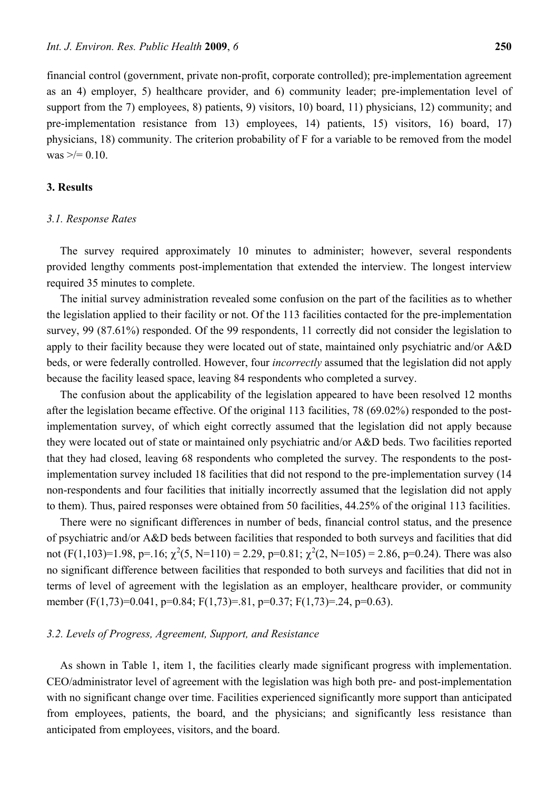financial control (government, private non-profit, corporate controlled); pre-implementation agreement as an 4) employer, 5) healthcare provider, and 6) community leader; pre-implementation level of support from the 7) employees, 8) patients, 9) visitors, 10) board, 11) physicians, 12) community; and pre-implementation resistance from 13) employees, 14) patients, 15) visitors, 16) board, 17) physicians, 18) community. The criterion probability of F for a variable to be removed from the model was  $\geq$  = 0.10.

# **3. Results**

# *3.1. Response Rates*

The survey required approximately 10 minutes to administer; however, several respondents provided lengthy comments post-implementation that extended the interview. The longest interview required 35 minutes to complete.

The initial survey administration revealed some confusion on the part of the facilities as to whether the legislation applied to their facility or not. Of the 113 facilities contacted for the pre-implementation survey, 99 (87.61%) responded. Of the 99 respondents, 11 correctly did not consider the legislation to apply to their facility because they were located out of state, maintained only psychiatric and/or A&D beds, or were federally controlled. However, four *incorrectly* assumed that the legislation did not apply because the facility leased space, leaving 84 respondents who completed a survey.

The confusion about the applicability of the legislation appeared to have been resolved 12 months after the legislation became effective. Of the original 113 facilities, 78 (69.02%) responded to the postimplementation survey, of which eight correctly assumed that the legislation did not apply because they were located out of state or maintained only psychiatric and/or A&D beds. Two facilities reported that they had closed, leaving 68 respondents who completed the survey. The respondents to the postimplementation survey included 18 facilities that did not respond to the pre-implementation survey (14 non-respondents and four facilities that initially incorrectly assumed that the legislation did not apply to them). Thus, paired responses were obtained from 50 facilities, 44.25% of the original 113 facilities.

There were no significant differences in number of beds, financial control status, and the presence of psychiatric and/or A&D beds between facilities that responded to both surveys and facilities that did not  $(F(1,103)=1.98, p=.16; \chi^2(5, N=110) = 2.29, p=0.81; \chi^2(2, N=105) = 2.86, p=0.24$ ). There was also no significant difference between facilities that responded to both surveys and facilities that did not in terms of level of agreement with the legislation as an employer, healthcare provider, or community member (F(1,73)=0.041, p=0.84; F(1,73)=.81, p=0.37; F(1,73)=.24, p=0.63).

# *3.2. Levels of Progress, Agreement, Support, and Resistance*

As shown in Table 1, item 1, the facilities clearly made significant progress with implementation. CEO/administrator level of agreement with the legislation was high both pre- and post-implementation with no significant change over time. Facilities experienced significantly more support than anticipated from employees, patients, the board, and the physicians; and significantly less resistance than anticipated from employees, visitors, and the board.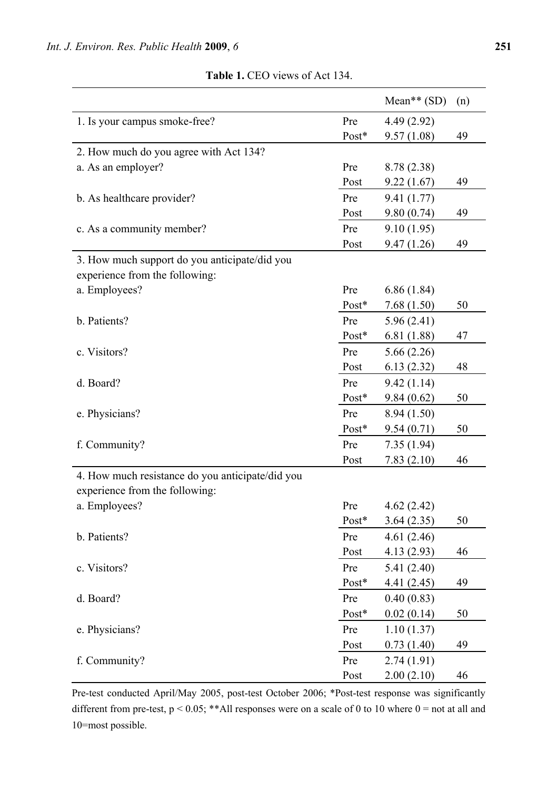|                                                  |         | Mean** $(SD)$ | (n) |
|--------------------------------------------------|---------|---------------|-----|
| 1. Is your campus smoke-free?                    | Pre     | 4.49(2.92)    |     |
|                                                  | Post*   | 9.57(1.08)    | 49  |
| 2. How much do you agree with Act 134?           |         |               |     |
| a. As an employer?                               | Pre     | 8.78 (2.38)   |     |
|                                                  | Post    | 9.22(1.67)    | 49  |
| b. As healthcare provider?                       | Pre     | 9.41(1.77)    |     |
|                                                  | Post    | 9.80(0.74)    | 49  |
| c. As a community member?                        | Pre     | 9.10(1.95)    |     |
|                                                  | Post    | 9.47(1.26)    | 49  |
| 3. How much support do you anticipate/did you    |         |               |     |
| experience from the following:                   |         |               |     |
| a. Employees?                                    | Pre     | 6.86(1.84)    |     |
|                                                  | $Post*$ | 7.68(1.50)    | 50  |
| b. Patients?                                     | Pre     | 5.96(2.41)    |     |
|                                                  | Post*   | 6.81(1.88)    | 47  |
| c. Visitors?                                     | Pre     | 5.66(2.26)    |     |
|                                                  | Post    | 6.13(2.32)    | 48  |
| d. Board?                                        | Pre     | 9.42(1.14)    |     |
|                                                  | Post*   | 9.84(0.62)    | 50  |
| e. Physicians?                                   | Pre     | 8.94(1.50)    |     |
|                                                  | Post*   | 9.54(0.71)    | 50  |
| f. Community?                                    | Pre     | 7.35(1.94)    |     |
|                                                  | Post    | 7.83(2.10)    | 46  |
| 4. How much resistance do you anticipate/did you |         |               |     |
| experience from the following:                   |         |               |     |
| a. Employees?                                    | Pre     | 4.62(2.42)    |     |
|                                                  | Post*   | 3.64(2.35)    | 50  |
| b. Patients?                                     | Pre     | 4.61(2.46)    |     |
|                                                  | Post    | 4.13(2.93)    | 46  |
| c. Visitors?                                     | Pre     | 5.41(2.40)    |     |
|                                                  | Post*   | 4.41(2.45)    | 49  |
| d. Board?                                        | Pre     | 0.40(0.83)    |     |
|                                                  | Post*   | 0.02(0.14)    | 50  |
| e. Physicians?                                   | Pre     | 1.10(1.37)    |     |
|                                                  | Post    | 0.73(1.40)    | 49  |
| f. Community?                                    | Pre     | 2.74(1.91)    |     |
|                                                  | Post    | 2.00(2.10)    | 46  |

**Table 1.** CEO views of Act 134.

Pre-test conducted April/May 2005, post-test October 2006; \*Post-test response was significantly different from pre-test,  $p < 0.05$ ; \*\*All responses were on a scale of 0 to 10 where  $0 =$  not at all and 10=most possible.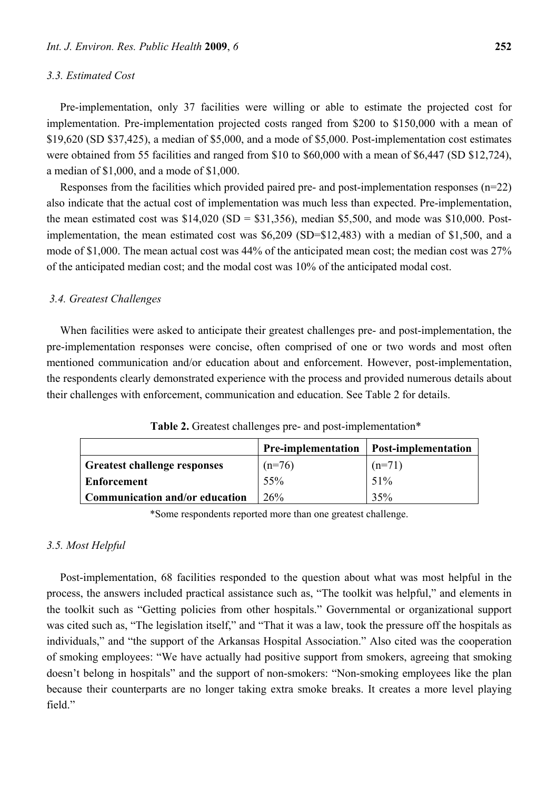#### *3.3. Estimated Cost*

Pre-implementation, only 37 facilities were willing or able to estimate the projected cost for implementation. Pre-implementation projected costs ranged from \$200 to \$150,000 with a mean of \$19,620 (SD \$37,425), a median of \$5,000, and a mode of \$5,000. Post-implementation cost estimates were obtained from 55 facilities and ranged from \$10 to \$60,000 with a mean of \$6,447 (SD \$12,724), a median of \$1,000, and a mode of \$1,000.

Responses from the facilities which provided paired pre- and post-implementation responses (n=22) also indicate that the actual cost of implementation was much less than expected. Pre-implementation, the mean estimated cost was  $$14,020$  (SD =  $$31,356$ ), median \$5,500, and mode was \$10,000. Postimplementation, the mean estimated cost was \$6,209 (SD=\$12,483) with a median of \$1,500, and a mode of \$1,000. The mean actual cost was 44% of the anticipated mean cost; the median cost was 27% of the anticipated median cost; and the modal cost was 10% of the anticipated modal cost.

## *3.4. Greatest Challenges*

When facilities were asked to anticipate their greatest challenges pre- and post-implementation, the pre-implementation responses were concise, often comprised of one or two words and most often mentioned communication and/or education about and enforcement. However, post-implementation, the respondents clearly demonstrated experience with the process and provided numerous details about their challenges with enforcement, communication and education. See Table 2 for details.

|                                       | <b>Pre-implementation</b> | <b>Post-implementation</b> |
|---------------------------------------|---------------------------|----------------------------|
| <b>Greatest challenge responses</b>   | $(n=76)$                  | $(n=71)$                   |
| <b>Enforcement</b>                    | 55%                       | 51%                        |
| <b>Communication and/or education</b> | 26%                       | 35%                        |

**Table 2.** Greatest challenges pre- and post-implementation\*

\*Some respondents reported more than one greatest challenge.

## *3.5. Most Helpful*

Post-implementation, 68 facilities responded to the question about what was most helpful in the process, the answers included practical assistance such as, "The toolkit was helpful," and elements in the toolkit such as "Getting policies from other hospitals." Governmental or organizational support was cited such as, "The legislation itself," and "That it was a law, took the pressure off the hospitals as individuals," and "the support of the Arkansas Hospital Association." Also cited was the cooperation of smoking employees: "We have actually had positive support from smokers, agreeing that smoking doesn't belong in hospitals" and the support of non-smokers: "Non-smoking employees like the plan because their counterparts are no longer taking extra smoke breaks. It creates a more level playing field"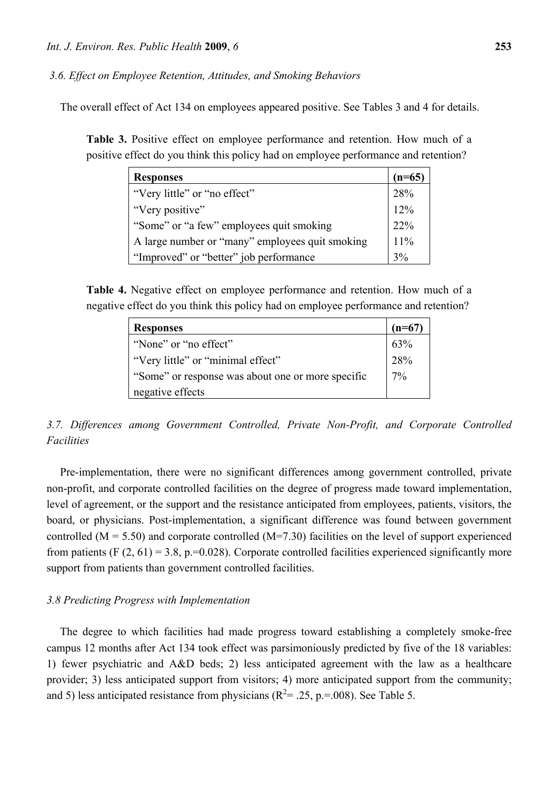*3.6. Effect on Employee Retention, Attitudes, and Smoking Behaviors* 

The overall effect of Act 134 on employees appeared positive. See Tables 3 and 4 for details.

**Table 3.** Positive effect on employee performance and retention. How much of a positive effect do you think this policy had on employee performance and retention?

| <b>Responses</b>                                | $(n=65)$ |
|-------------------------------------------------|----------|
| "Very little" or "no effect"                    | 28%      |
| "Very positive"                                 | 12%      |
| "Some" or "a few" employees quit smoking        | 22%      |
| A large number or "many" employees quit smoking | 11%      |
| "Improved" or "better" job performance          | 3%       |

**Table 4.** Negative effect on employee performance and retention. How much of a negative effect do you think this policy had on employee performance and retention?

| <b>Responses</b>                                  | $(n=67)$ |
|---------------------------------------------------|----------|
| "None" or "no effect"                             | 63%      |
| "Very little" or "minimal effect"                 | 28%      |
| "Some" or response was about one or more specific | 17%      |
| negative effects                                  |          |

*3.7. Differences among Government Controlled, Private Non-Profit, and Corporate Controlled Facilities* 

Pre-implementation, there were no significant differences among government controlled, private non-profit, and corporate controlled facilities on the degree of progress made toward implementation, level of agreement, or the support and the resistance anticipated from employees, patients, visitors, the board, or physicians. Post-implementation, a significant difference was found between government controlled ( $M = 5.50$ ) and corporate controlled ( $M = 7.30$ ) facilities on the level of support experienced from patients (F  $(2, 61) = 3.8$ , p.=0.028). Corporate controlled facilities experienced significantly more support from patients than government controlled facilities.

## *3.8 Predicting Progress with Implementation*

The degree to which facilities had made progress toward establishing a completely smoke-free campus 12 months after Act 134 took effect was parsimoniously predicted by five of the 18 variables: 1) fewer psychiatric and A&D beds; 2) less anticipated agreement with the law as a healthcare provider; 3) less anticipated support from visitors; 4) more anticipated support from the community; and 5) less anticipated resistance from physicians ( $R^2 = .25$ , p.=.008). See Table 5.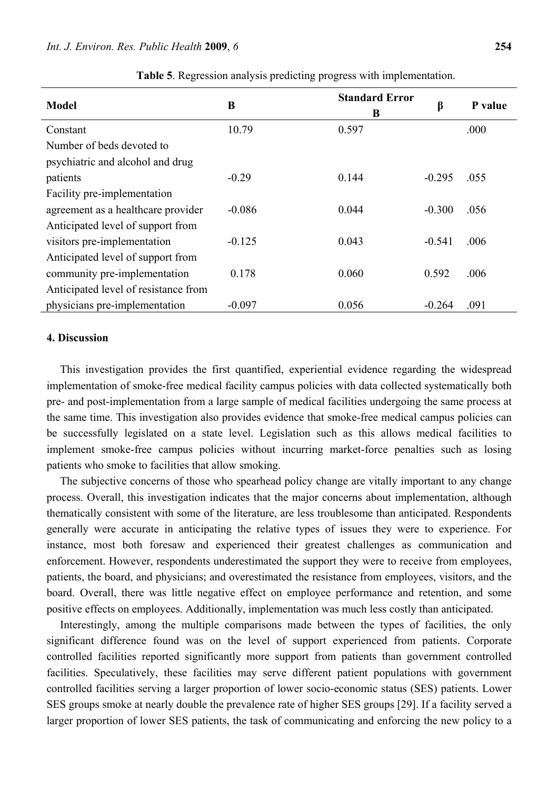| <b>Model</b>                         | B        | <b>Standard Error</b><br>B | β        | P value |
|--------------------------------------|----------|----------------------------|----------|---------|
| Constant                             | 10.79    | 0.597                      |          | .000    |
| Number of beds devoted to            |          |                            |          |         |
| psychiatric and alcohol and drug     |          |                            |          |         |
| patients                             | $-0.29$  | 0.144                      | $-0.295$ | .055    |
| Facility pre-implementation          |          |                            |          |         |
| agreement as a healthcare provider   | $-0.086$ | 0.044                      | $-0.300$ | .056    |
| Anticipated level of support from    |          |                            |          |         |
| visitors pre-implementation          | $-0.125$ | 0.043                      | $-0.541$ | .006    |
| Anticipated level of support from    |          |                            |          |         |
| community pre-implementation         | 0.178    | 0.060                      | 0.592    | .006    |
| Anticipated level of resistance from |          |                            |          |         |
| physicians pre-implementation        | $-0.097$ | 0.056                      | $-0.264$ | .091    |

**Table 5**. Regression analysis predicting progress with implementation.

# **4. Discussion**

This investigation provides the first quantified, experiential evidence regarding the widespread implementation of smoke-free medical facility campus policies with data collected systematically both pre- and post-implementation from a large sample of medical facilities undergoing the same process at the same time. This investigation also provides evidence that smoke-free medical campus policies can be successfully legislated on a state level. Legislation such as this allows medical facilities to implement smoke-free campus policies without incurring market-force penalties such as losing patients who smoke to facilities that allow smoking.

The subjective concerns of those who spearhead policy change are vitally important to any change process. Overall, this investigation indicates that the major concerns about implementation, although thematically consistent with some of the literature, are less troublesome than anticipated. Respondents generally were accurate in anticipating the relative types of issues they were to experience. For instance, most both foresaw and experienced their greatest challenges as communication and enforcement. However, respondents underestimated the support they were to receive from employees, patients, the board, and physicians; and overestimated the resistance from employees, visitors, and the board. Overall, there was little negative effect on employee performance and retention, and some positive effects on employees. Additionally, implementation was much less costly than anticipated.

Interestingly, among the multiple comparisons made between the types of facilities, the only significant difference found was on the level of support experienced from patients. Corporate controlled facilities reported significantly more support from patients than government controlled facilities. Speculatively, these facilities may serve different patient populations with government controlled facilities serving a larger proportion of lower socio-economic status (SES) patients. Lower SES groups smoke at nearly double the prevalence rate of higher SES groups [29]. If a facility served a larger proportion of lower SES patients, the task of communicating and enforcing the new policy to a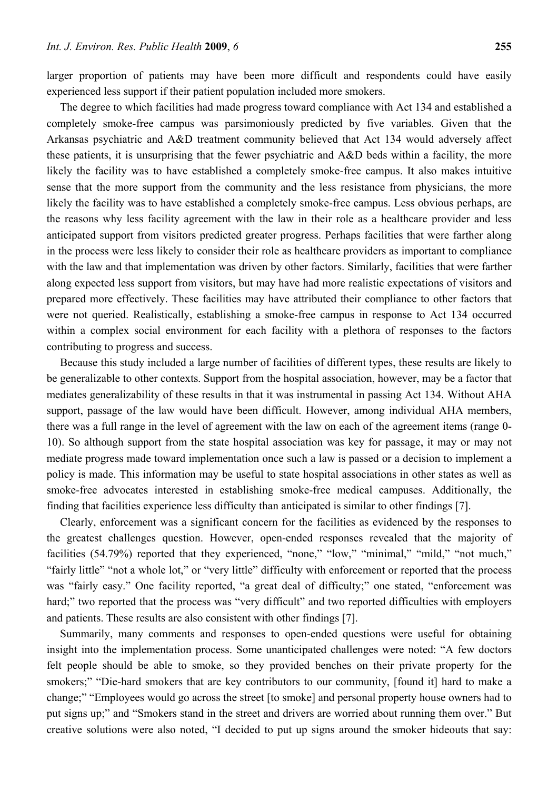larger proportion of patients may have been more difficult and respondents could have easily experienced less support if their patient population included more smokers.

The degree to which facilities had made progress toward compliance with Act 134 and established a completely smoke-free campus was parsimoniously predicted by five variables. Given that the Arkansas psychiatric and A&D treatment community believed that Act 134 would adversely affect these patients, it is unsurprising that the fewer psychiatric and A&D beds within a facility, the more likely the facility was to have established a completely smoke-free campus. It also makes intuitive sense that the more support from the community and the less resistance from physicians, the more likely the facility was to have established a completely smoke-free campus. Less obvious perhaps, are the reasons why less facility agreement with the law in their role as a healthcare provider and less anticipated support from visitors predicted greater progress. Perhaps facilities that were farther along in the process were less likely to consider their role as healthcare providers as important to compliance with the law and that implementation was driven by other factors. Similarly, facilities that were farther along expected less support from visitors, but may have had more realistic expectations of visitors and prepared more effectively. These facilities may have attributed their compliance to other factors that were not queried. Realistically, establishing a smoke-free campus in response to Act 134 occurred within a complex social environment for each facility with a plethora of responses to the factors contributing to progress and success.

Because this study included a large number of facilities of different types, these results are likely to be generalizable to other contexts. Support from the hospital association, however, may be a factor that mediates generalizability of these results in that it was instrumental in passing Act 134. Without AHA support, passage of the law would have been difficult. However, among individual AHA members, there was a full range in the level of agreement with the law on each of the agreement items (range 0- 10). So although support from the state hospital association was key for passage, it may or may not mediate progress made toward implementation once such a law is passed or a decision to implement a policy is made. This information may be useful to state hospital associations in other states as well as smoke-free advocates interested in establishing smoke-free medical campuses. Additionally, the finding that facilities experience less difficulty than anticipated is similar to other findings [7].

Clearly, enforcement was a significant concern for the facilities as evidenced by the responses to the greatest challenges question. However, open-ended responses revealed that the majority of facilities (54.79%) reported that they experienced, "none," "low," "minimal," "mild," "not much," "fairly little" "not a whole lot," or "very little" difficulty with enforcement or reported that the process was "fairly easy." One facility reported, "a great deal of difficulty;" one stated, "enforcement was hard;" two reported that the process was "very difficult" and two reported difficulties with employers and patients. These results are also consistent with other findings [7].

Summarily, many comments and responses to open-ended questions were useful for obtaining insight into the implementation process. Some unanticipated challenges were noted: "A few doctors felt people should be able to smoke, so they provided benches on their private property for the smokers;" "Die-hard smokers that are key contributors to our community, [found it] hard to make a change;" "Employees would go across the street [to smoke] and personal property house owners had to put signs up;" and "Smokers stand in the street and drivers are worried about running them over." But creative solutions were also noted, "I decided to put up signs around the smoker hideouts that say: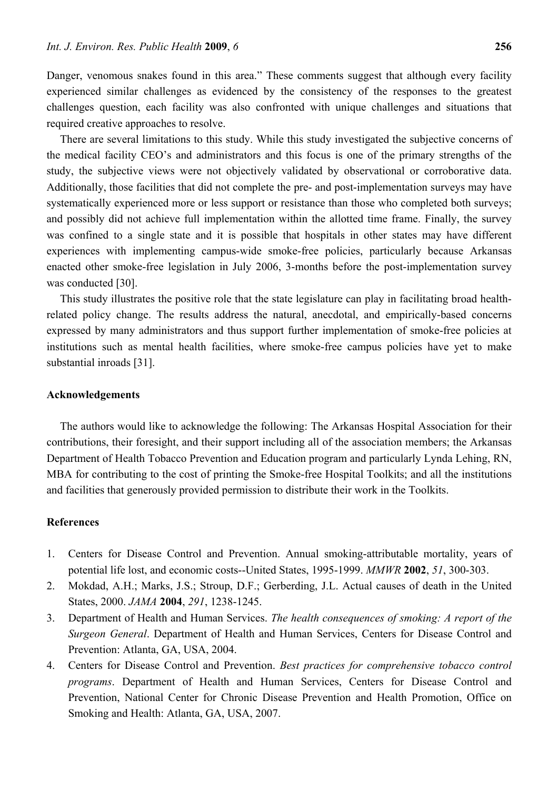Danger, venomous snakes found in this area." These comments suggest that although every facility experienced similar challenges as evidenced by the consistency of the responses to the greatest challenges question, each facility was also confronted with unique challenges and situations that required creative approaches to resolve.

There are several limitations to this study. While this study investigated the subjective concerns of the medical facility CEO's and administrators and this focus is one of the primary strengths of the study, the subjective views were not objectively validated by observational or corroborative data. Additionally, those facilities that did not complete the pre- and post-implementation surveys may have systematically experienced more or less support or resistance than those who completed both surveys; and possibly did not achieve full implementation within the allotted time frame. Finally, the survey was confined to a single state and it is possible that hospitals in other states may have different experiences with implementing campus-wide smoke-free policies, particularly because Arkansas enacted other smoke-free legislation in July 2006, 3-months before the post-implementation survey was conducted [30].

This study illustrates the positive role that the state legislature can play in facilitating broad healthrelated policy change. The results address the natural, anecdotal, and empirically-based concerns expressed by many administrators and thus support further implementation of smoke-free policies at institutions such as mental health facilities, where smoke-free campus policies have yet to make substantial inroads [31].

## **Acknowledgements**

The authors would like to acknowledge the following: The Arkansas Hospital Association for their contributions, their foresight, and their support including all of the association members; the Arkansas Department of Health Tobacco Prevention and Education program and particularly Lynda Lehing, RN, MBA for contributing to the cost of printing the Smoke-free Hospital Toolkits; and all the institutions and facilities that generously provided permission to distribute their work in the Toolkits.

# **References**

- 1. Centers for Disease Control and Prevention. Annual smoking-attributable mortality, years of potential life lost, and economic costs--United States, 1995-1999. *MMWR* **2002**, *51*, 300-303.
- 2. Mokdad, A.H.; Marks, J.S.; Stroup, D.F.; Gerberding, J.L. Actual causes of death in the United States, 2000. *JAMA* **2004**, *291*, 1238-1245.
- 3. Department of Health and Human Services. *The health consequences of smoking: A report of the Surgeon General*. Department of Health and Human Services, Centers for Disease Control and Prevention: Atlanta, GA, USA, 2004.
- 4. Centers for Disease Control and Prevention. *Best practices for comprehensive tobacco control programs*. Department of Health and Human Services, Centers for Disease Control and Prevention, National Center for Chronic Disease Prevention and Health Promotion, Office on Smoking and Health: Atlanta, GA, USA, 2007.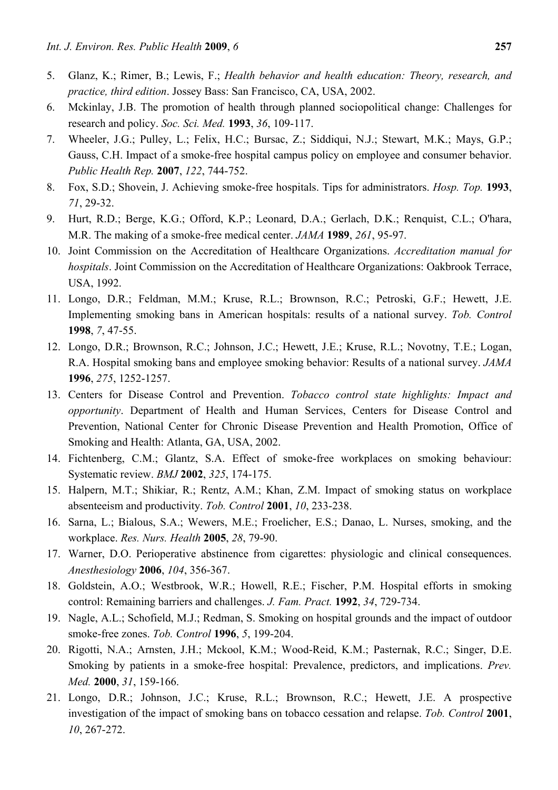- 5. Glanz, K.; Rimer, B.; Lewis, F.; *Health behavior and health education: Theory, research, and practice, third edition*. Jossey Bass: San Francisco, CA, USA, 2002.
- 6. Mckinlay, J.B. The promotion of health through planned sociopolitical change: Challenges for research and policy. *Soc. Sci. Med.* **1993**, *36*, 109-117.
- 7. Wheeler, J.G.; Pulley, L.; Felix, H.C.; Bursac, Z.; Siddiqui, N.J.; Stewart, M.K.; Mays, G.P.; Gauss, C.H. Impact of a smoke-free hospital campus policy on employee and consumer behavior. *Public Health Rep.* **2007**, *122*, 744-752.
- 8. Fox, S.D.; Shovein, J. Achieving smoke-free hospitals. Tips for administrators. *Hosp. Top.* **1993**, *71*, 29-32.
- 9. Hurt, R.D.; Berge, K.G.; Offord, K.P.; Leonard, D.A.; Gerlach, D.K.; Renquist, C.L.; O'hara, M.R. The making of a smoke-free medical center. *JAMA* **1989**, *261*, 95-97.
- 10. Joint Commission on the Accreditation of Healthcare Organizations. *Accreditation manual for hospitals*. Joint Commission on the Accreditation of Healthcare Organizations: Oakbrook Terrace, USA, 1992.
- 11. Longo, D.R.; Feldman, M.M.; Kruse, R.L.; Brownson, R.C.; Petroski, G.F.; Hewett, J.E. Implementing smoking bans in American hospitals: results of a national survey. *Tob. Control* **1998**, *7*, 47-55.
- 12. Longo, D.R.; Brownson, R.C.; Johnson, J.C.; Hewett, J.E.; Kruse, R.L.; Novotny, T.E.; Logan, R.A. Hospital smoking bans and employee smoking behavior: Results of a national survey. *JAMA* **1996**, *275*, 1252-1257.
- 13. Centers for Disease Control and Prevention. *Tobacco control state highlights: Impact and opportunity*. Department of Health and Human Services, Centers for Disease Control and Prevention, National Center for Chronic Disease Prevention and Health Promotion, Office of Smoking and Health: Atlanta, GA, USA, 2002.
- 14. Fichtenberg, C.M.; Glantz, S.A. Effect of smoke-free workplaces on smoking behaviour: Systematic review. *BMJ* **2002**, *325*, 174-175.
- 15. Halpern, M.T.; Shikiar, R.; Rentz, A.M.; Khan, Z.M. Impact of smoking status on workplace absenteeism and productivity. *Tob. Control* **2001**, *10*, 233-238.
- 16. Sarna, L.; Bialous, S.A.; Wewers, M.E.; Froelicher, E.S.; Danao, L. Nurses, smoking, and the workplace. *Res. Nurs. Health* **2005**, *28*, 79-90.
- 17. Warner, D.O. Perioperative abstinence from cigarettes: physiologic and clinical consequences. *Anesthesiology* **2006**, *104*, 356-367.
- 18. Goldstein, A.O.; Westbrook, W.R.; Howell, R.E.; Fischer, P.M. Hospital efforts in smoking control: Remaining barriers and challenges. *J. Fam. Pract.* **1992**, *34*, 729-734.
- 19. Nagle, A.L.; Schofield, M.J.; Redman, S. Smoking on hospital grounds and the impact of outdoor smoke-free zones. *Tob. Control* **1996**, *5*, 199-204.
- 20. Rigotti, N.A.; Arnsten, J.H.; Mckool, K.M.; Wood-Reid, K.M.; Pasternak, R.C.; Singer, D.E. Smoking by patients in a smoke-free hospital: Prevalence, predictors, and implications. *Prev. Med.* **2000**, *31*, 159-166.
- 21. Longo, D.R.; Johnson, J.C.; Kruse, R.L.; Brownson, R.C.; Hewett, J.E. A prospective investigation of the impact of smoking bans on tobacco cessation and relapse. *Tob. Control* **2001**, *10*, 267-272.